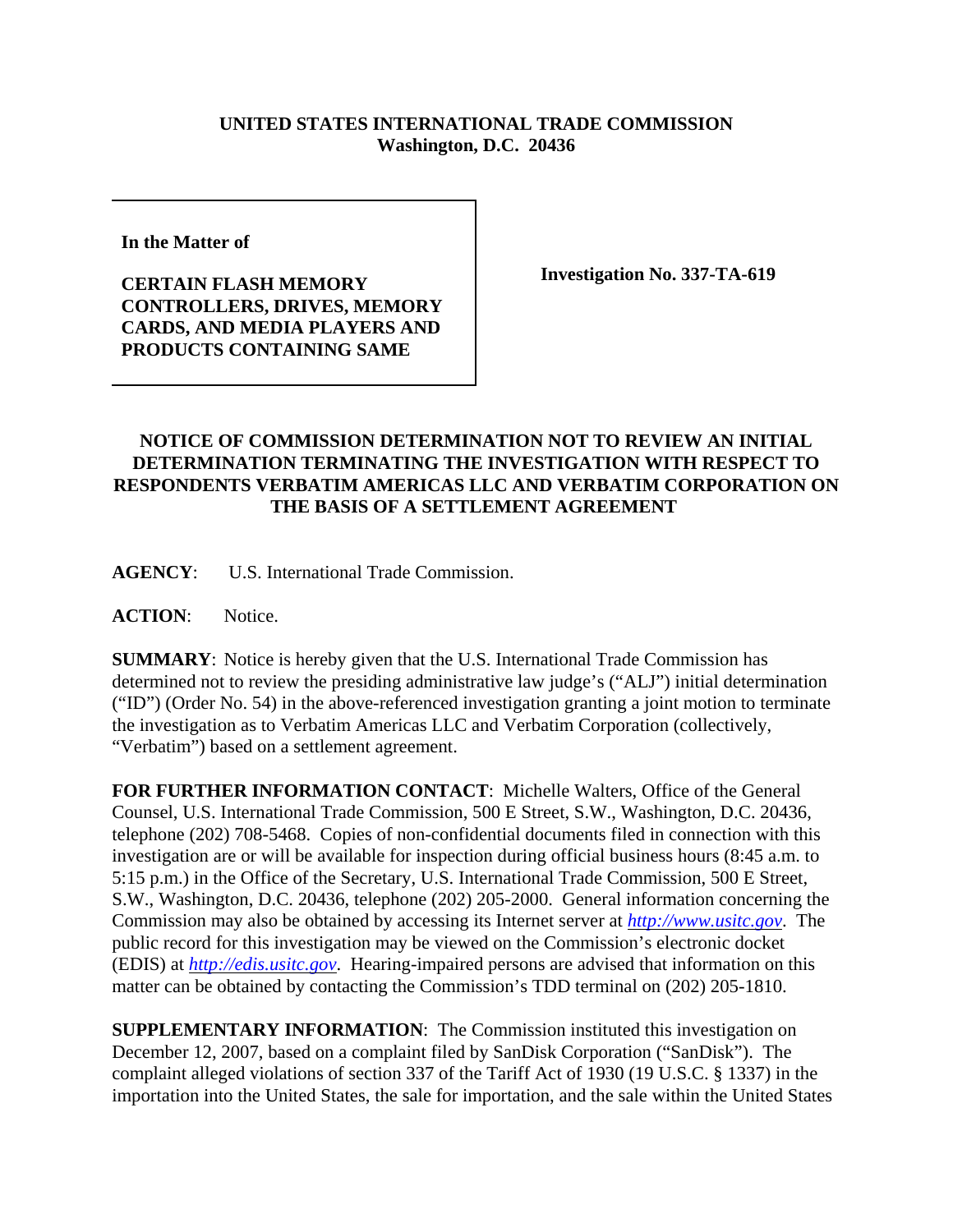## **UNITED STATES INTERNATIONAL TRADE COMMISSION Washington, D.C. 20436**

**In the Matter of** 

**CERTAIN FLASH MEMORY CONTROLLERS, DRIVES, MEMORY CARDS, AND MEDIA PLAYERS AND PRODUCTS CONTAINING SAME**

**Investigation No. 337-TA-619**

## **NOTICE OF COMMISSION DETERMINATION NOT TO REVIEW AN INITIAL DETERMINATION TERMINATING THE INVESTIGATION WITH RESPECT TO RESPONDENTS VERBATIM AMERICAS LLC AND VERBATIM CORPORATION ON THE BASIS OF A SETTLEMENT AGREEMENT**

**AGENCY**: U.S. International Trade Commission.

**ACTION**: Notice.

**SUMMARY**: Notice is hereby given that the U.S. International Trade Commission has determined not to review the presiding administrative law judge's ("ALJ") initial determination ("ID") (Order No. 54) in the above-referenced investigation granting a joint motion to terminate the investigation as to Verbatim Americas LLC and Verbatim Corporation (collectively, "Verbatim") based on a settlement agreement.

**FOR FURTHER INFORMATION CONTACT**: Michelle Walters, Office of the General Counsel, U.S. International Trade Commission, 500 E Street, S.W., Washington, D.C. 20436, telephone (202) 708-5468. Copies of non-confidential documents filed in connection with this investigation are or will be available for inspection during official business hours (8:45 a.m. to 5:15 p.m.) in the Office of the Secretary, U.S. International Trade Commission, 500 E Street, S.W., Washington, D.C. 20436, telephone (202) 205-2000. General information concerning the Commission may also be obtained by accessing its Internet server at *http://www.usitc.gov*. The public record for this investigation may be viewed on the Commission's electronic docket (EDIS) at *http://edis.usitc.gov*. Hearing-impaired persons are advised that information on this matter can be obtained by contacting the Commission's TDD terminal on (202) 205-1810.

**SUPPLEMENTARY INFORMATION:** The Commission instituted this investigation on December 12, 2007, based on a complaint filed by SanDisk Corporation ("SanDisk"). The complaint alleged violations of section 337 of the Tariff Act of 1930 (19 U.S.C. § 1337) in the importation into the United States, the sale for importation, and the sale within the United States